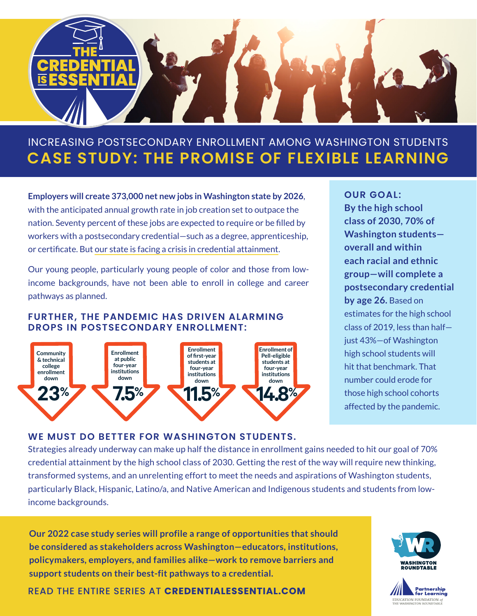

# **CASE STUDY: THE PROMISE OF FLEXIBLE LEARNING** INCREASING POSTSECONDARY ENROLLMENT AMONG WASHINGTON STUDENTS

**Employers will create 373,000 net new jobs in Washington state by 2026**, with the anticipated annual growth rate in job creation set to outpace the nation. Seventy percent of these jobs are expected to require or be filled by workers with a postsecondary credential—such as a degree, apprenticeship, or certificate. But [our state is facing a crisis in credential attainment.](https://www.partnership4learning.org/wp-content/uploads/2022/02/WRT_PostsecondaryEnrollmentCrisis_Report_1.2022-FINAL.pdf)

Our young people, particularly young people of color and those from lowincome backgrounds, have not been able to enroll in college and career pathways as planned.

#### **FURTHER, THE PANDEMIC HAS DRIVEN ALARMING DROPS IN POSTSECONDARY ENROLLMENT:**



**OUR GOAL: By the high school class of 2030, 70% of Washington students overall and within each racial and ethnic group—will complete a postsecondary credential by age 26.** Based on estimates for the high school class of 2019, less than half just 43%—of Washington high school students will hit that benchmark. That number could erode for those high school cohorts affected by the pandemic.

#### **WE MUST DO BETTER FOR WASHINGTON STUDENTS.**

Strategies already underway can make up half the distance in enrollment gains needed to hit our goal of 70% credential attainment by the high school class of 2030. Getting the rest of the way will require new thinking, transformed systems, and an unrelenting effort to meet the needs and aspirations of Washington students, particularly Black, Hispanic, Latino/a, and Native American and Indigenous students and students from lowincome backgrounds.

**Our 2022 case study series will profile a range of opportunities that should be considered as stakeholders across Washington—educators, institutions, policymakers, employers, and families alike—work to remove barriers and support students on their best-fit pathways to a credential.** 





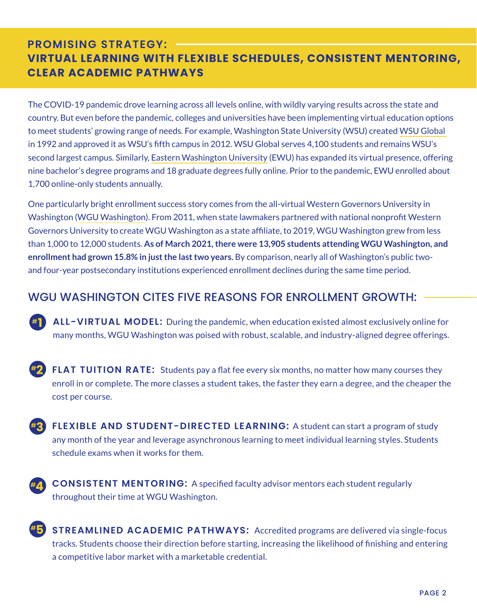## **PROMISING STRATEGY: VIRTUAL LEARNING WITH FLEXIBLE SCHEDULES, CONSISTENT MENTORING, CLEAR ACADEMIC PATHWAYS**

The COVID-19 pandemic drove learning across all levels online, with wildly varying results across the state and country. But even before the pandemic, colleges and universities have been implementing virtual education options to meet students' growing range of needs. For example, Washington State University (WSU) create[d WSU Global](https://online.wsu.edu/)  in 1992 and approved it as WSU's fifth campus in 2012. WSU Global serves 4,100 students and remains WSU's second largest campus. Similarly, [Eastern Washington University \(](https://www.ewu.edu/online/)EWU) has expanded its virtual presence, offering nine bachelor's degree programs and 18 graduate degrees fully online. Prior to the pandemic, EWU enrolled about 1,700 online-only students annually.

One particularly bright enrollment success story comes from the all-virtual Western Governors University in Washington [\(WGU Washington](https://www.wgu.edu/washington.html)). From 2011, when state lawmakers partnered with national nonprofit Western Governors University to create WGU Washington as a state affiliate, to 2019, WGU Washington grew from less than 1,000 to 12,000 students. **As of March 2021, there were 13,905 students attending WGU Washington, and enrollment had grown 15.8% in just the last two years.** By comparison, nearly all of Washington's public twoand four-year postsecondary institutions experienced enrollment declines during the same time period.

### WGU WASHINGTON CITES FIVE REASONS FOR ENROLLMENT GROWTH:

**#1**

**#3**

**ALL-VIRTUAL MODEL:** During the pandemic, when education existed almost exclusively online for many months, WGU Washington was poised with robust, scalable, and industry-aligned degree offerings.

**FLAT TUITION RATE:** Students pay a flat fee every six months, no matter how many courses they enroll in or complete. The more classes a student takes, the faster they earn a degree, and the cheaper the cost per course. **#2**

**FLEXIBLE AND STUDENT-DIRECTED LEARNING:** A student can start a program of study any month of the year and leverage asynchronous learning to meet individual learning styles. Students schedule exams when it works for them.

**CONSISTENT MENTORING:** A specified faculty advisor mentors each student regularly throughout their time at WGU Washington. **#4**

**STREAMLINED ACADEMIC PATHWAYS:** Accredited programs are delivered via single-focus tracks. Students choose their direction before starting, increasing the likelihood of finishing and entering a competitive labor market with a marketable credential. **#5**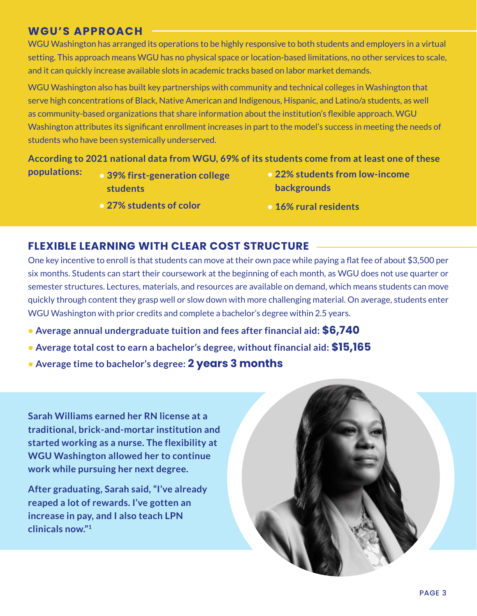### **WGU'S APPROACH**

WGU Washington has arranged its operations to be highly responsive to both students and employers in a virtual setting. This approach means WGU has no physical space or location-based limitations, no other services to scale, and it can quickly increase available slots in academic tracks based on labor market demands.

WGU Washington also has built key partnerships with community and technical colleges in Washington that serve high concentrations of Black, Native American and Indigenous, Hispanic, and Latino/a students, as well as community-based organizations that share information about the institution's flexible approach. WGU Washington attributes its significant enrollment increases in part to the model's success in meeting the needs of students who have been systemically underserved.

#### **According to 2021 national data from WGU, 69% of its students come from at least one of these**

- 
- **39% first-generation college students**
- **27% students of color**
- **populations: 22% students from low-income backgrounds**
	- **16% rural residents**

#### **FLEXIBLE LEARNING WITH CLEAR COST STRUCTURE**

One key incentive to enroll is that students can move at their own pace while paying a flat fee of about \$3,500 per six months. Students can start their coursework at the beginning of each month, as WGU does not use quarter or semester structures. Lectures, materials, and resources are available on demand, which means students can move quickly through content they grasp well or slow down with more challenging material. On average, students enter WGU Washington with prior credits and complete a bachelor's degree within 2.5 years.

- **Average annual undergraduate tuition and fees after financial aid: \$6,740**
- **Average total cost to earn a bachelor's degree, without financial aid: \$15,165**
- **Average time to bachelor's degree: 2 years 3 months**

**Sarah Williams earned her RN license at a traditional, brick-and-mortar institution and started working as a nurse. The flexibility at WGU Washington allowed her to continue work while pursuing her next degree.**

**After graduating, Sarah said, "I've already reaped a lot of rewards. I've gotten an increase in pay, and I also teach LPN clinicals now."1**